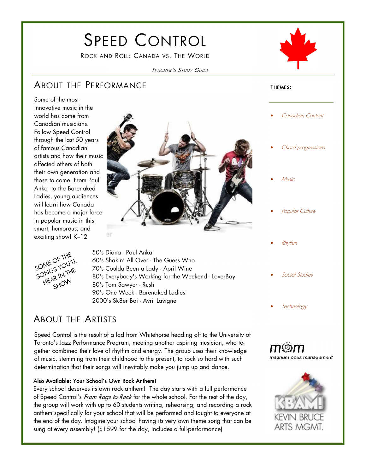# SPEED CONTROL

ROCK AND ROLL: CANADA VS. THE WORLD



#### TEACHER'S STUDY GUIDE

### ABOUT THE PERFORMANCE

THEMES:

 $\overline{a}$ 

innovative music in the world has come from Canadian musicians. Follow Speed Control through the last 50 years of famous Canadian artists and how their music affected others of both their own generation and those to come. From Paul Anka to the Barenaked





Ladies, young audiences will learn how Canada has become a major force in popular music in this smart, humorous, and exciting show! K–12

Some of the most

50's Diana - Paul Anka 60's Shakin' All Over - The Guess Who 70's Coulda Been a Lady - April Wine 80's Everybody's Working for the Weekend - LoverBoy 80's Tom Sawyer - Rush 90's One Week - Barenaked Ladies 2000's Sk8er Boi - Avril Lavigne

### ABOUT THE ARTISTS

Speed Control is the result of a lad from Whitehorse heading off to the University of Toronto's Jazz Performance Program, meeting another aspiring musician, who together combined their love of rhythm and energy. The group uses their knowledge of music, stemming from their childhood to the present, to rock so hard with such determination that their songs will inevitably make you jump up and dance.

#### Also Available: Your School's Own Rock Anthem!

Every school deserves its own rock anthem! The day starts with a full performance of Speed Control's From Rags to Rock for the whole school. For the rest of the day, the group will work with up to 60 students writing, rehearsing, and recording a rock anthem specifically for your school that will be performed and taught to everyone at the end of the day. Imagine your school having its very own theme song that can be sung at every assembly! (\$1599 for the day, includes a full-performance)

Chord progressions

Canadian Content

- Music
- Popular Culture
- Rhythm
- Social Studies
- **Technology**